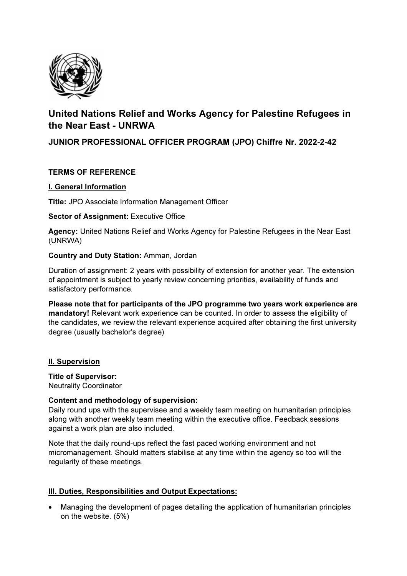

# United Nations Relief and Works Agency for Palestine Refugees in the Near East - UNRWA

## JUNIOR PROFESSIONAL OFFICER PROGRAM (JPO) Chiffre Nr. 2022-2-42

## TERMS OF REFERENCE

#### I. General Information

Title: JPO Associate Information Management Officer

#### Sector of Assignment: Executive Office

Agency: United Nations Relief and Works Agency for Palestine Refugees in the Near East (UNRWA)

#### Country and Duty Station: Amman, Jordan

Duration of assignment: 2 years with possibility of extension for another year. The extension of appointment is subject to yearly review concerning priorities, availability of funds and satisfactory performance.

Please note that for participants of the JPO programme two years work experience are mandatory! Relevant work experience can be counted. In order to assess the eligibility of the candidates, we review the relevant experience acquired after obtaining the first university degree (usually bachelor's degree)

#### II. Supervision

Title of Supervisor: Neutrality Coordinator

#### Content and methodology of supervision:

Daily round ups with the supervisee and a weekly team meeting on humanitarian principles along with another weekly team meeting within the executive office. Feedback sessions against a work plan are also included.

Note that the daily round-ups reflect the fast paced working environment and not micromanagement. Should matters stabilise at any time within the agency so too will the regularity of these meetings.

## III. Duties, Responsibilities and Output Expectations:

 Managing the development of pages detailing the application of humanitarian principles on the website. (5%)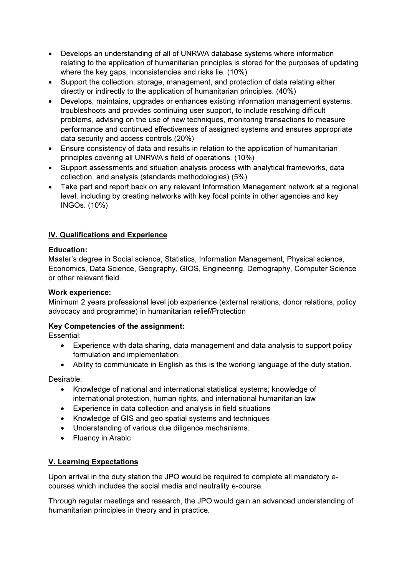- Develops an understanding of all of UNRWA database systems where information relating to the application of humanitarian principles is stored for the purposes of updating where the key gaps, inconsistencies and risks lie. (10%)
- Support the collection, storage, management, and protection of data relating either directly or indirectly to the application of humanitarian principles. (40%)
- Develops, maintains, upgrades or enhances existing information management systems: troubleshoots and provides continuing user support, to include resolving difficult problems, advising on the use of new techniques, monitoring transactions to measure performance and continued effectiveness of assigned systems and ensures appropriate data security and access controls.(20%)
- Ensure consistency of data and results in relation to the application of humanitarian principles covering all UNRWA's field of operations. (10%)
- Support assessments and situation analysis process with analytical frameworks, data collection, and analysis (standards methodologies) (5%)
- Take part and report back on any relevant Information Management network at a regional level, including by creating networks with key focal points in other agencies and key INGOs. (10%)

## IV. Qualifications and Experience

#### Education:

Master's degree in Social science, Statistics, Information Management, Physical science, Economics, Data Science, Geography, GIOS, Engineering, Demography, Computer Science or other relevant field.

#### Work experience:

Minimum 2 years professional level job experience (external relations, donor relations, policy advocacy and programme) in humanitarian relief/Protection

## Key Competencies of the assignment:

Essential:

- Experience with data sharing, data management and data analysis to support policy formulation and implementation.
- Ability to communicate in English as this is the working language of the duty station.

Desirable:

- Knowledge of national and international statistical systems; knowledge of international protection, human rights, and international humanitarian law
- Experience in data collection and analysis in field situations
- Knowledge of GIS and geo spatial systems and techniques
- Understanding of various due diligence mechanisms.
- Fluency in Arabic

## V. Learning Expectations

Upon arrival in the duty station the JPO would be required to complete all mandatory ecourses which includes the social media and neutrality e-course.

Through regular meetings and research, the JPO would gain an advanced understanding of humanitarian principles in theory and in practice.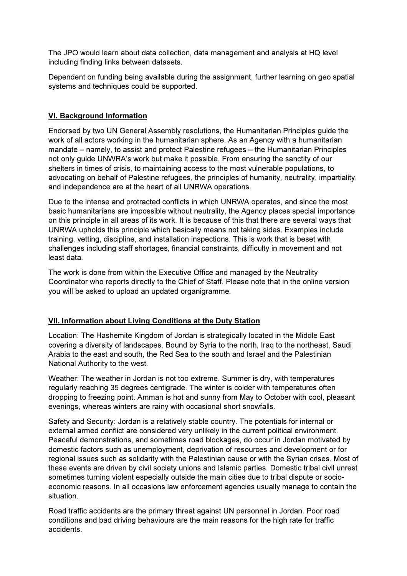The JPO would learn about data collection, data management and analysis at HQ level including finding links between datasets.

Dependent on funding being available during the assignment, further learning on geo spatial systems and techniques could be supported.

## VI. Background Information

Endorsed by two UN General Assembly resolutions, the Humanitarian Principles guide the work of all actors working in the humanitarian sphere. As an Agency with a humanitarian mandate – namely, to assist and protect Palestine refugees – the Humanitarian Principles not only guide UNWRA's work but make it possible. From ensuring the sanctity of our shelters in times of crisis, to maintaining access to the most vulnerable populations, to advocating on behalf of Palestine refugees, the principles of humanity, neutrality, impartiality, and independence are at the heart of all UNRWA operations.

Due to the intense and protracted conflicts in which UNRWA operates, and since the most basic humanitarians are impossible without neutrality, the Agency places special importance on this principle in all areas of its work. It is because of this that there are several ways that UNRWA upholds this principle which basically means not taking sides. Examples include training, vetting, discipline, and installation inspections. This is work that is beset with challenges including staff shortages, financial constraints, difficulty in movement and not least data.

The work is done from within the Executive Office and managed by the Neutrality Coordinator who reports directly to the Chief of Staff. Please note that in the online version you will be asked to upload an updated organigramme.

## VII. Information about Living Conditions at the Duty Station

Location: The Hashemite Kingdom of Jordan is strategically located in the Middle East covering a diversity of landscapes. Bound by Syria to the north, Iraq to the northeast, Saudi Arabia to the east and south, the Red Sea to the south and Israel and the Palestinian National Authority to the west.

Weather: The weather in Jordan is not too extreme. Summer is dry, with temperatures regularly reaching 35 degrees centigrade. The winter is colder with temperatures often dropping to freezing point. Amman is hot and sunny from May to October with cool, pleasant evenings, whereas winters are rainy with occasional short snowfalls.

Safety and Security: Jordan is a relatively stable country. The potentials for internal or external armed conflict are considered very unlikely in the current political environment. Peaceful demonstrations, and sometimes road blockages, do occur in Jordan motivated by domestic factors such as unemployment, deprivation of resources and development or for regional issues such as solidarity with the Palestinian cause or with the Syrian crises. Most of these events are driven by civil society unions and Islamic parties. Domestic tribal civil unrest sometimes turning violent especially outside the main cities due to tribal dispute or socioeconomic reasons. In all occasions law enforcement agencies usually manage to contain the situation.

Road traffic accidents are the primary threat against UN personnel in Jordan. Poor road conditions and bad driving behaviours are the main reasons for the high rate for traffic accidents.